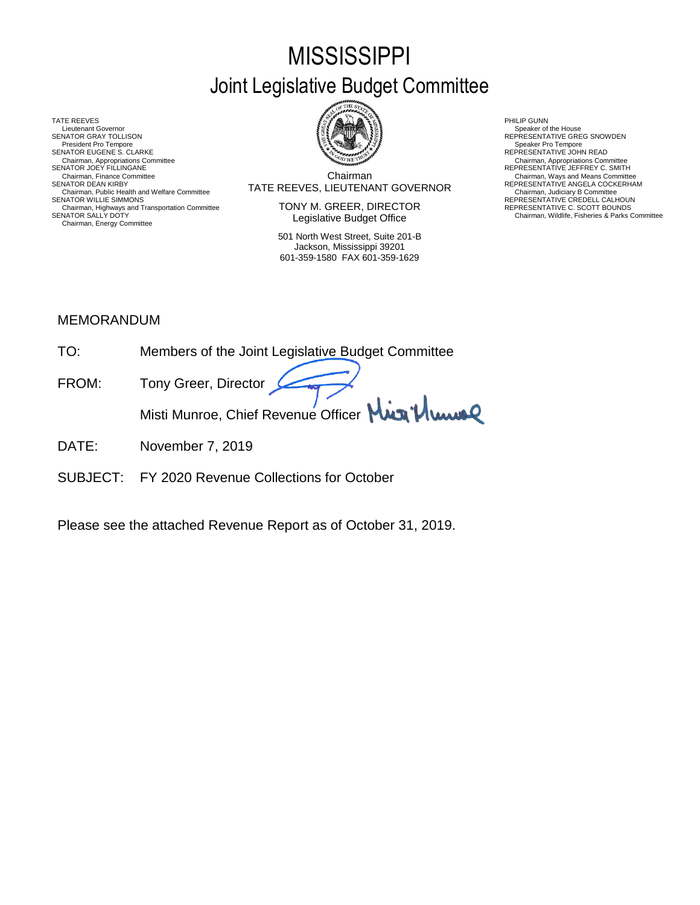# **MISSISSIPPI** Joint Legislative Budget Committee

TATE REEVES THE REDUCT THE REEVES AND RELATED AS A RELATED MALL OF LATER REEVES AND RELATED AT A RELATED MALL OF LATER SUMMARY AND RELATED AT A RELATED AND RELATED AT A RELATED MALL OF LATER SUMMARY AND RELATED AT A RELAT Lieutenant Governor<br>SENATOR GRAY TOLLISON President Pro Tempore SENATOR EUGENE S. CLARKE<br>Chairman, Appropriations Committee<br>SENATOR JOEY FILLINGANE Chairman, Appropriations Committee Chairman, Appropriations Committee<br>SENATOR JOEY FILLINGANE REPRESENTATIVE JEFFREY C. SMITH Chairman, Public Health and Welfare Committee **SENATOR MUST AT A LIGENTY CONTINUM CONTINUM**<br>SENATOR WILLIE SIMMONS **REPRESENTATIVE CREDELL CALHOUN**<br>Chairman, Highways and Transportation Committee **SENATOR** CREDELL CALHOUN Chairman, Highways and Transportation Committee REPRESENTATIVE C. SCOTT BOUNDS SENATOR SALLY DOTY Chairman, Wildlife, Fisheries & Parks Committee Chairman, Energy Committee



Chairman SENATOR DEAN KIRBY (SENATOR DEAN KIRBY) TATE REEVES, LIEUTENANT GOVERNOR REPRESENTATIVE ANGELA COCKERHAM<br>Chairman, Judiciary B Committee Committee Committee Committee Committee Committee Committee Committee Committe Chairman, Finance Committee **Chairman**<br>Chairman Committee **Chairman** Committee **Chairman** COVERNOR REPRESENTATIVE ANGELA COCKERHAM

> TONY M. GREER, DIRECTOR Legislative Budget Office

501 North West Street, Suite 201-B Jackson, Mississippi 39201 601-359-1580 FAX 601-359-1629

Speaker of the House<br>REPRESENTATIVE GREG SNOWDEN<br>Speaker Pro Tempore

# MEMORANDUM

- TO: Members of the Joint Legislative Budget Committee FROM: Tony Greer, Director Misti Munroe, Chief Revenue Officer Mun<sup>1</sup>/ Www<sup>2</sup>
- DATE: November 7, 2019
- SUBJECT: FY 2020 Revenue Collections for October

Please see the attached Revenue Report as of October 31, 2019.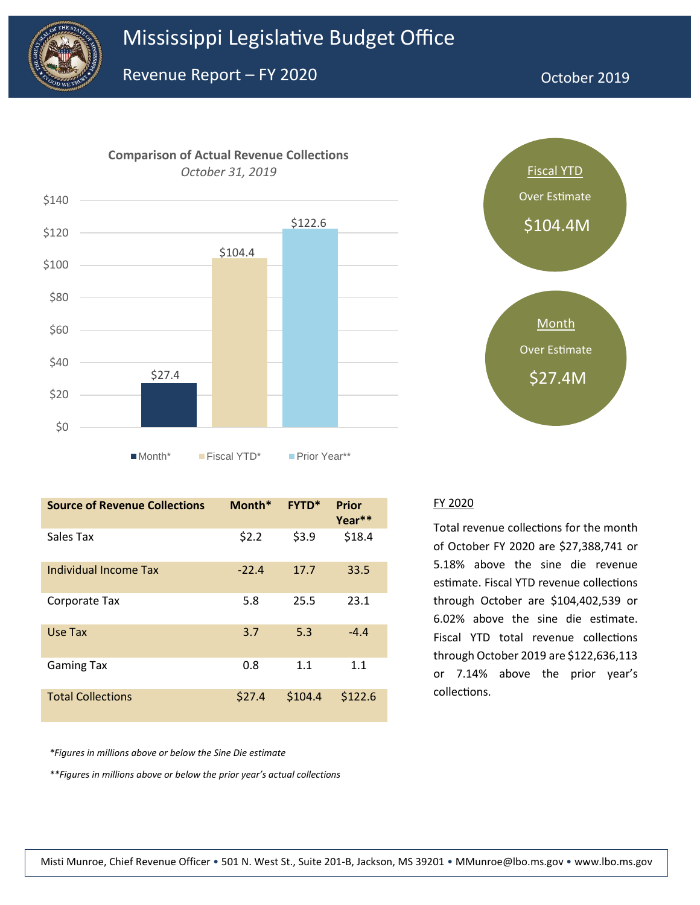



# Fiscal YTD Over Estimate \$104.4M **Month** Over Estimate

| <b>Source of Revenue Collections</b> | Month*  | <b>FYTD*</b> | Prior<br>Year <sup>**</sup> |
|--------------------------------------|---------|--------------|-----------------------------|
| Sales Tax                            | \$2.2   | \$3.9        | \$18.4                      |
| Individual Income Tax                | $-22.4$ | 17.7         | 33.5                        |
| Corporate Tax                        | 5.8     | 25.5         | 23.1                        |
| Use Tax                              | 3.7     | 5.3          | $-4.4$                      |
| <b>Gaming Tax</b>                    | 0.8     | 1.1          | 1.1                         |
| <b>Total Collections</b>             | \$27.4  | \$104.4      | \$122.6                     |

FY 2020

Total revenue collections for the month of October FY 2020 are \$27,388,741 or 5.18% above the sine die revenue estimate. Fiscal YTD revenue collections through October are \$104,402,539 or 6.02% above the sine die estimate. Fiscal YTD total revenue collections through October 2019 are \$122,636,113 or 7.14% above the prior year's collections.

*\*Figures in millions above or below the Sine Die estimate*

*\*\*Figures in millions above or below the prior year's actual collections*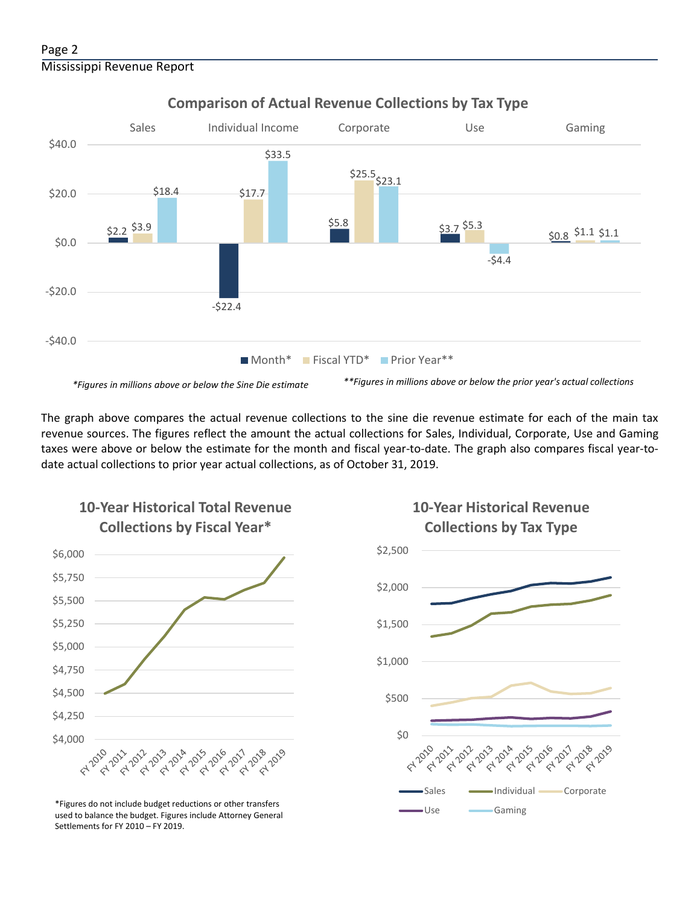# Page 2 Mississippi Revenue Report



**Comparison of Actual Revenue Collections by Tax Type**

The graph above compares the actual revenue collections to the sine die revenue estimate for each of the main tax revenue sources. The figures reflect the amount the actual collections for Sales, Individual, Corporate, Use and Gaming taxes were above or below the estimate for the month and fiscal year-to-date. The graph also compares fiscal year-todate actual collections to prior year actual collections, as of October 31, 2019.



**10-Year Historical Total Revenue** 

Use Gaming \*Figures do not include budget reductions or other transfers used to balance the budget. Figures include Attorney General Settlements for FY 2010 – FY 2019.



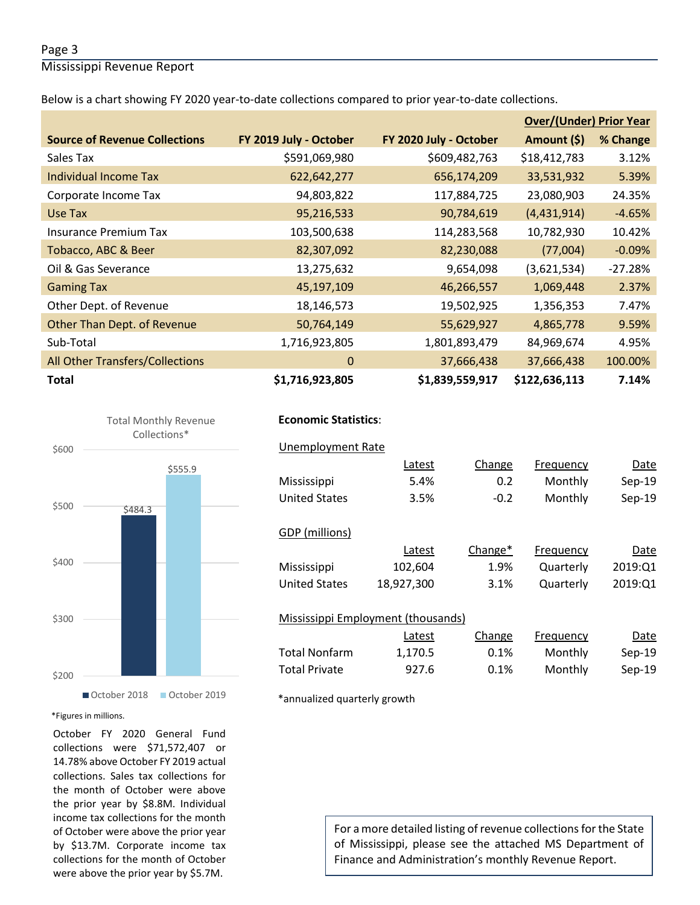## Page 3

Mississippi Revenue Report

Below is a chart showing FY 2020 year-to-date collections compared to prior year-to-date collections.

|                                        |                        |                        | <b>Over/(Under) Prior Year</b> |           |  |
|----------------------------------------|------------------------|------------------------|--------------------------------|-----------|--|
| <b>Source of Revenue Collections</b>   | FY 2019 July - October | FY 2020 July - October | Amount (\$)                    | % Change  |  |
| Sales Tax                              | \$591,069,980          | \$609,482,763          | \$18,412,783                   | 3.12%     |  |
| Individual Income Tax                  | 622,642,277            | 656,174,209            | 33,531,932                     | 5.39%     |  |
| Corporate Income Tax                   | 94,803,822             | 117,884,725            | 23,080,903                     | 24.35%    |  |
| Use Tax                                | 95,216,533             | 90,784,619             | (4,431,914)                    | $-4.65%$  |  |
| <b>Insurance Premium Tax</b>           | 103,500,638            | 114,283,568            | 10,782,930                     | 10.42%    |  |
| Tobacco, ABC & Beer                    | 82,307,092             | 82,230,088             | (77,004)                       | $-0.09\%$ |  |
| Oil & Gas Severance                    | 13,275,632             | 9,654,098              | (3,621,534)                    | $-27.28%$ |  |
| <b>Gaming Tax</b>                      | 45,197,109             | 46,266,557             | 1,069,448                      | 2.37%     |  |
| Other Dept. of Revenue                 | 18,146,573             | 19,502,925             | 1,356,353                      | 7.47%     |  |
| Other Than Dept. of Revenue            | 50,764,149             | 55,629,927             | 4,865,778                      | 9.59%     |  |
| Sub-Total                              | 1,716,923,805          | 1,801,893,479          | 84,969,674                     | 4.95%     |  |
| <b>All Other Transfers/Collections</b> | $\mathbf 0$            | 37,666,438             | 37,666,438                     | 100.00%   |  |
| <b>Total</b>                           | \$1,716,923,805        | \$1,839,559,917        | \$122,636,113                  | 7.14%     |  |



# **Economic Statistics**:  **Economic Statistics**:

# Unemployment Rate Unemployment Rate

|                                    | Latest     | Change  | Frequency | Date     |
|------------------------------------|------------|---------|-----------|----------|
| Mississippi                        | 5.4%       | 0.2     | Monthly   | $Sep-19$ |
| <b>United States</b>               | 3.5%       | $-0.2$  | Monthly   | Sep-19   |
|                                    |            |         |           |          |
| GDP (millions)                     |            |         |           |          |
|                                    | Latest     | Change* | Frequency | Date     |
| Mississippi                        | 102,604    | 1.9%    | Quarterly | 2019:Q1  |
| <b>United States</b>               | 18,927,300 | 3.1%    | Quarterly | 2019:Q1  |
|                                    |            |         |           |          |
| Mississippi Employment (thousands) |            |         |           |          |
|                                    | Latest     | Change  | Frequency | Date     |
| <b>Total Nonfarm</b>               | 1,170.5    | 0.1%    | Monthly   | $Sep-19$ |
| <b>Total Private</b>               | 927.6      | 0.1%    | Monthly   | Sep-19   |

\*annualized quarterly growth

#### \*Figures in millions.

October FY 2020 General Fund collections were \$71,572,407 or 14.78% above October FY 2019 actual collections. Sales tax collections for the month of October were above the prior year by \$8.8M. Individual income tax collections for the month of October were above the prior year by \$13.7M. Corporate income tax collections for the month of October were above the prior year by \$5.7M.

For a more detailed listing of revenue collections for the State of Mississippi, please see the attached MS Department of Finance and Administration's monthly Revenue Report.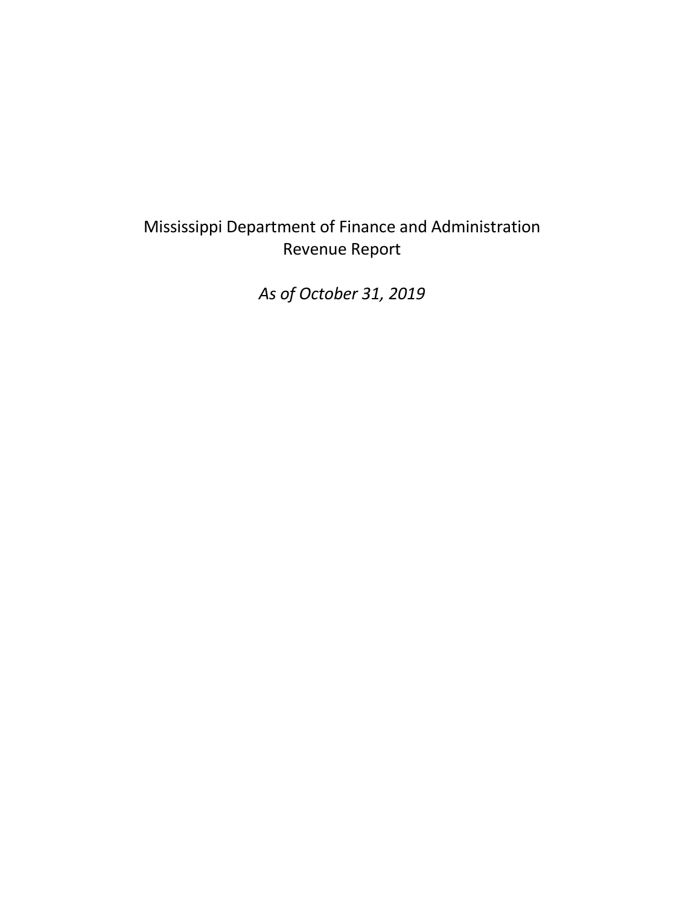# Mississippi Department of Finance and Administration Revenue Report

*As of October 31, 2019*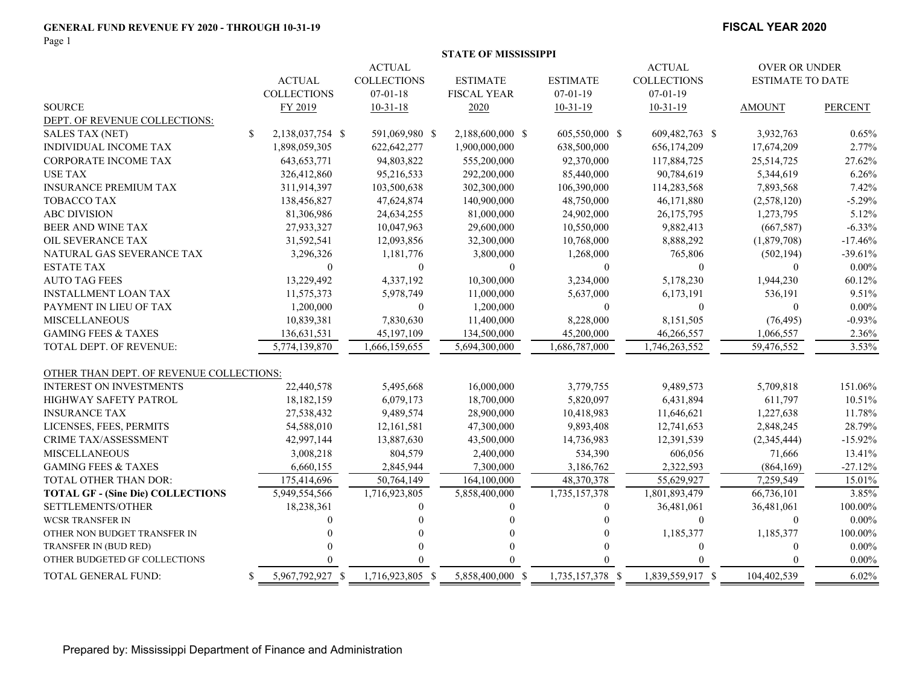#### **GENERAL FUND REVENUE FY 2020 - THROUGH 10-31-19**

Page 1

#### **FISCAL YEAR 2020**

|                                          |               |                    |                    | <b>STATE OF MISSISSIPPI</b> |                  |                      |                         |                |
|------------------------------------------|---------------|--------------------|--------------------|-----------------------------|------------------|----------------------|-------------------------|----------------|
|                                          |               | <b>ACTUAL</b>      |                    |                             | <b>ACTUAL</b>    | <b>OVER OR UNDER</b> |                         |                |
|                                          |               | <b>ACTUAL</b>      | <b>COLLECTIONS</b> | <b>ESTIMATE</b>             | <b>ESTIMATE</b>  | <b>COLLECTIONS</b>   | <b>ESTIMATE TO DATE</b> |                |
|                                          |               | <b>COLLECTIONS</b> | $07 - 01 - 18$     | <b>FISCAL YEAR</b>          | $07 - 01 - 19$   | $07 - 01 - 19$       |                         |                |
| <b>SOURCE</b>                            |               | FY 2019            | $10 - 31 - 18$     | 2020                        | $10-31-19$       | $10-31-19$           | <b>AMOUNT</b>           | <b>PERCENT</b> |
| DEPT. OF REVENUE COLLECTIONS:            |               |                    |                    |                             |                  |                      |                         |                |
| <b>SALES TAX (NET)</b>                   | <sup>\$</sup> | 2,138,037,754 \$   | 591,069,980 \$     | 2,188,600,000 \$            | 605,550,000 \$   | 609,482,763 \$       | 3,932,763               | 0.65%          |
| <b>INDIVIDUAL INCOME TAX</b>             |               | 1,898,059,305      | 622, 642, 277      | 1,900,000,000               | 638,500,000      | 656,174,209          | 17,674,209              | 2.77%          |
| <b>CORPORATE INCOME TAX</b>              |               | 643, 653, 771      | 94,803,822         | 555,200,000                 | 92,370,000       | 117,884,725          | 25,514,725              | 27.62%         |
| <b>USE TAX</b>                           |               | 326,412,860        | 95,216,533         | 292,200,000                 | 85,440,000       | 90,784,619           | 5,344,619               | 6.26%          |
| <b>INSURANCE PREMIUM TAX</b>             |               | 311,914,397        | 103,500,638        | 302,300,000                 | 106,390,000      | 114,283,568          | 7,893,568               | 7.42%          |
| <b>TOBACCO TAX</b>                       |               | 138,456,827        | 47,624,874         | 140,900,000                 | 48,750,000       | 46,171,880           | (2,578,120)             | $-5.29%$       |
| <b>ABC DIVISION</b>                      |               | 81,306,986         | 24,634,255         | 81,000,000                  | 24,902,000       | 26,175,795           | 1,273,795               | 5.12%          |
| BEER AND WINE TAX                        |               | 27,933,327         | 10,047,963         | 29,600,000                  | 10,550,000       | 9,882,413            | (667, 587)              | $-6.33%$       |
| OIL SEVERANCE TAX                        |               | 31,592,541         | 12,093,856         | 32,300,000                  | 10,768,000       | 8,888,292            | (1,879,708)             | $-17.46%$      |
| NATURAL GAS SEVERANCE TAX                |               | 3,296,326          | 1,181,776          | 3,800,000                   | 1,268,000        | 765,806              | (502, 194)              | $-39.61%$      |
| <b>ESTATE TAX</b>                        |               | $\Omega$           | $\theta$           | $\theta$                    | $\mathbf{0}$     | $\Omega$             | $\overline{0}$          | $0.00\%$       |
| <b>AUTO TAG FEES</b>                     |               | 13,229,492         | 4,337,192          | 10,300,000                  | 3,234,000        | 5,178,230            | 1,944,230               | 60.12%         |
| <b>INSTALLMENT LOAN TAX</b>              |               | 11,575,373         | 5,978,749          | 11,000,000                  | 5,637,000        | 6,173,191            | 536,191                 | 9.51%          |
| PAYMENT IN LIEU OF TAX                   |               | 1,200,000          | $\mathbf{0}$       | 1,200,000                   | $\overline{0}$   | $\theta$             | $\mathbf{0}$            | $0.00\%$       |
| <b>MISCELLANEOUS</b>                     |               | 10,839,381         | 7,830,630          | 11,400,000                  | 8,228,000        | 8,151,505            | (76, 495)               | $-0.93%$       |
| <b>GAMING FEES &amp; TAXES</b>           |               | 136,631,531        | 45,197,109         | 134,500,000                 | 45,200,000       | 46,266,557           | 1,066,557               | 2.36%          |
| TOTAL DEPT. OF REVENUE:                  |               | 5,774,139,870      | 1,666,159,655      | 5,694,300,000               | 1,686,787,000    | 1,746,263,552        | 59,476,552              | 3.53%          |
|                                          |               |                    |                    |                             |                  |                      |                         |                |
| OTHER THAN DEPT. OF REVENUE COLLECTIONS: |               |                    |                    |                             |                  |                      |                         |                |
| <b>INTEREST ON INVESTMENTS</b>           |               | 22,440,578         | 5,495,668          | 16,000,000                  | 3,779,755        | 9,489,573            | 5,709,818               | 151.06%        |
| <b>HIGHWAY SAFETY PATROL</b>             |               | 18,182,159         | 6,079,173          | 18,700,000                  | 5,820,097        | 6,431,894            | 611,797                 | 10.51%         |
| <b>INSURANCE TAX</b>                     |               | 27,538,432         | 9,489,574          | 28,900,000                  | 10,418,983       | 11,646,621           | 1,227,638               | 11.78%         |
| LICENSES, FEES, PERMITS                  |               | 54,588,010         | 12,161,581         | 47,300,000                  | 9,893,408        | 12,741,653           | 2,848,245               | 28.79%         |
| CRIME TAX/ASSESSMENT                     |               | 42,997,144         | 13,887,630         | 43,500,000                  | 14,736,983       | 12,391,539           | (2,345,444)             | $-15.92%$      |
| <b>MISCELLANEOUS</b>                     |               | 3,008,218          | 804,579            | 2,400,000                   | 534,390          | 606,056              | 71,666                  | 13.41%         |
| <b>GAMING FEES &amp; TAXES</b>           |               | 6,660,155          | 2,845,944          | 7,300,000                   | 3,186,762        | 2,322,593            | (864, 169)              | $-27.12%$      |
| TOTAL OTHER THAN DOR:                    |               | 175,414,696        | 50,764,149         | 164,100,000                 | 48,370,378       | 55,629,927           | 7,259,549               | 15.01%         |
| <b>TOTAL GF - (Sine Die) COLLECTIONS</b> |               | 5,949,554,566      | 1,716,923,805      | 5,858,400,000               | 1,735,157,378    | 1,801,893,479        | 66,736,101              | 3.85%          |
| SETTLEMENTS/OTHER                        |               | 18,238,361         | $\Omega$           | $\theta$                    | 0                | 36,481,061           | 36,481,061              | 100.00%        |
| <b>WCSR TRANSFER IN</b>                  |               |                    |                    |                             |                  | $\theta$             | $\mathbf{0}$            | $0.00\%$       |
| OTHER NON BUDGET TRANSFER IN             |               |                    |                    |                             |                  | 1,185,377            | 1,185,377               | 100.00%        |
| TRANSFER IN (BUD RED)                    |               |                    | $\Omega$           | $\theta$                    |                  | $\Omega$             | $\boldsymbol{0}$        | $0.00\%$       |
| OTHER BUDGETED GF COLLECTIONS            |               |                    |                    |                             |                  |                      |                         | $0.00\%$       |
| TOTAL GENERAL FUND:                      | S.            | 5,967,792,927 \$   | 1,716,923,805 \$   | 5,858,400,000 \$            | 1,735,157,378 \$ | 1,839,559,917 \$     | 104,402,539             | 6.02%          |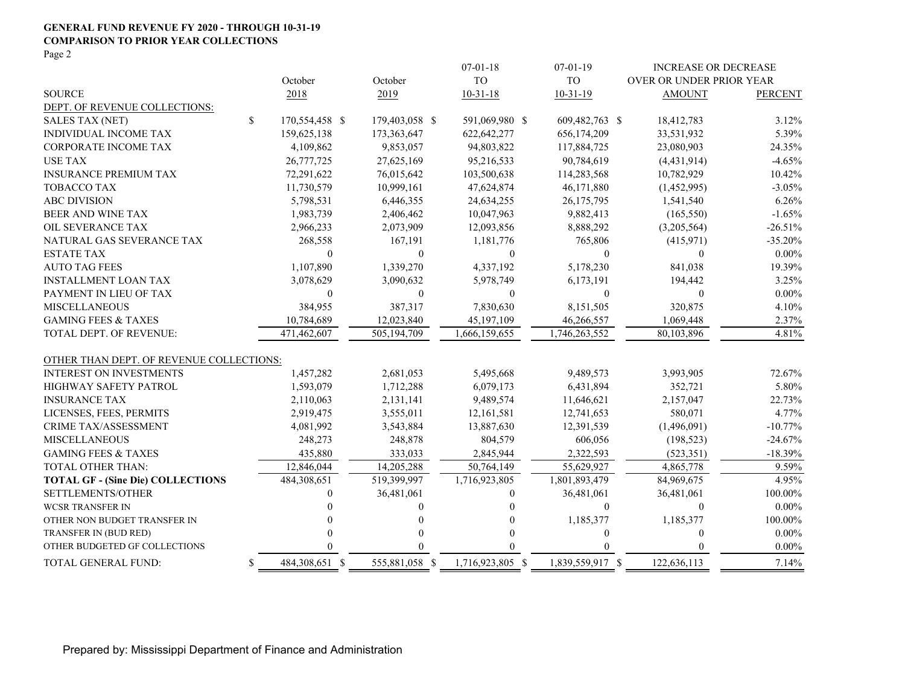## **GENERAL FUND REVENUE FY 2020 - THROUGH 10-31-19 COMPARISON TO PRIOR YEAR COLLECTIONS**

Page 2

|                                                                            |    |                       |                       | $07-01-18$              | $07-01-19$              | <b>INCREASE OR DECREASE</b> |                    |
|----------------------------------------------------------------------------|----|-----------------------|-----------------------|-------------------------|-------------------------|-----------------------------|--------------------|
|                                                                            |    | October               | October               | <b>TO</b>               | T <sub>O</sub>          | OVER OR UNDER PRIOR YEAR    |                    |
| <b>SOURCE</b>                                                              |    | 2018                  | 2019                  | $10-31-18$              | $10-31-19$              | <b>AMOUNT</b>               | <b>PERCENT</b>     |
| DEPT. OF REVENUE COLLECTIONS:                                              |    |                       |                       |                         |                         |                             |                    |
| <b>SALES TAX (NET)</b>                                                     | \$ | 170,554,458 \$        | 179,403,058 \$        | 591,069,980 \$          | 609,482,763 \$          | 18,412,783                  | 3.12%              |
| INDIVIDUAL INCOME TAX                                                      |    | 159,625,138           | 173,363,647           | 622, 642, 277           | 656,174,209             | 33,531,932                  | 5.39%              |
| CORPORATE INCOME TAX                                                       |    | 4,109,862             | 9,853,057             | 94,803,822              | 117,884,725             | 23,080,903                  | 24.35%             |
| <b>USE TAX</b>                                                             |    | 26,777,725            | 27,625,169            | 95,216,533              | 90,784,619              | (4,431,914)                 | $-4.65%$           |
| <b>INSURANCE PREMIUM TAX</b>                                               |    | 72,291,622            | 76,015,642            | 103,500,638             | 114,283,568             | 10,782,929                  | 10.42%             |
| <b>TOBACCO TAX</b>                                                         |    | 11,730,579            | 10,999,161            | 47,624,874              | 46,171,880              | (1,452,995)                 | $-3.05%$           |
| <b>ABC DIVISION</b>                                                        |    | 5,798,531             | 6,446,355             | 24,634,255              | 26,175,795              | 1,541,540                   | 6.26%              |
| BEER AND WINE TAX                                                          |    | 1,983,739             | 2,406,462             | 10,047,963              | 9,882,413               | (165, 550)                  | $-1.65%$           |
| OIL SEVERANCE TAX                                                          |    | 2,966,233             | 2,073,909             | 12,093,856              | 8,888,292               | (3,205,564)                 | $-26.51%$          |
| NATURAL GAS SEVERANCE TAX                                                  |    | 268,558               | 167,191               | 1,181,776               | 765,806                 | (415,971)                   | $-35.20%$          |
| <b>ESTATE TAX</b>                                                          |    | $\theta$              | $\mathbf{0}$          | $\overline{0}$          | $\mathbf{0}$            | $\overline{0}$              | $0.00\%$           |
| <b>AUTO TAG FEES</b>                                                       |    | 1,107,890             | 1,339,270             | 4,337,192               | 5,178,230               | 841,038                     | 19.39%             |
| <b>INSTALLMENT LOAN TAX</b>                                                |    | 3,078,629             | 3,090,632             | 5,978,749               | 6,173,191               | 194,442                     | 3.25%              |
| PAYMENT IN LIEU OF TAX                                                     |    | $\boldsymbol{0}$      | $\boldsymbol{0}$      | 0                       | $\mathbf{0}$            | $\overline{0}$              | $0.00\%$           |
| <b>MISCELLANEOUS</b>                                                       |    | 384,955               | 387,317               | 7,830,630               | 8,151,505               | 320,875                     | 4.10%              |
| <b>GAMING FEES &amp; TAXES</b>                                             |    | 10,784,689            | 12,023,840            | 45,197,109              | 46,266,557              | 1,069,448                   | 2.37%              |
| TOTAL DEPT. OF REVENUE:                                                    |    | 471,462,607           | 505,194,709           | 1,666,159,655           | 1,746,263,552           | 80,103,896                  | 4.81%              |
|                                                                            |    |                       |                       |                         |                         |                             |                    |
| OTHER THAN DEPT. OF REVENUE COLLECTIONS:<br><b>INTEREST ON INVESTMENTS</b> |    | 1,457,282             |                       |                         |                         | 3,993,905                   | 72.67%             |
| <b>HIGHWAY SAFETY PATROL</b>                                               |    |                       | 2,681,053             | 5,495,668               | 9,489,573               |                             |                    |
|                                                                            |    | 1,593,079             | 1,712,288             | 6,079,173               | 6,431,894               | 352,721                     | 5.80%              |
| <b>INSURANCE TAX</b>                                                       |    | 2,110,063             | 2,131,141             | 9,489,574               | 11,646,621              | 2,157,047                   | 22.73%             |
| LICENSES, FEES, PERMITS<br><b>CRIME TAX/ASSESSMENT</b>                     |    | 2,919,475             | 3,555,011             | 12,161,581              | 12,741,653              | 580,071                     | 4.77%<br>$-10.77%$ |
|                                                                            |    | 4,081,992             | 3,543,884             | 13,887,630              | 12,391,539              | (1,496,091)                 |                    |
| <b>MISCELLANEOUS</b><br><b>GAMING FEES &amp; TAXES</b>                     |    | 248,273               | 248,878               | 804,579                 | 606,056                 | (198, 523)                  | $-24.67%$          |
| <b>TOTAL OTHER THAN:</b>                                                   |    | 435,880<br>12,846,044 | 333,033<br>14,205,288 | 2,845,944<br>50,764,149 | 2,322,593<br>55,629,927 | (523, 351)                  | $-18.39%$<br>9.59% |
| <b>TOTAL GF - (Sine Die) COLLECTIONS</b>                                   |    | 484,308,651           | 519,399,997           | 1,716,923,805           | 1,801,893,479           | 4,865,778<br>84,969,675     | 4.95%              |
| SETTLEMENTS/OTHER                                                          |    |                       |                       |                         |                         |                             |                    |
|                                                                            |    | $\overline{0}$        | 36,481,061            | $\overline{0}$          | 36,481,061              | 36,481,061                  | 100.00%            |
| <b>WCSR TRANSFER IN</b>                                                    |    |                       | $\theta$              | $\theta$                | $\mathbf{0}$            | $\overline{0}$              | $0.00\%$           |
| OTHER NON BUDGET TRANSFER IN                                               |    |                       | 0<br>$\Omega$         | $\Omega$<br>$\theta$    | 1,185,377               | 1,185,377                   | 100.00%            |
| TRANSFER IN (BUD RED)                                                      |    |                       |                       | 0                       | $\mathbf{0}$            | $\overline{0}$              | $0.00\%$           |
| OTHER BUDGETED GF COLLECTIONS                                              |    |                       | 0                     |                         | 0                       | $\theta$                    | $0.00\%$           |
| TOTAL GENERAL FUND:                                                        | S  | 484,308,651 \$        | 555,881,058 \$        | 1,716,923,805 \$        | 1,839,559,917 \$        | 122,636,113                 | 7.14%              |